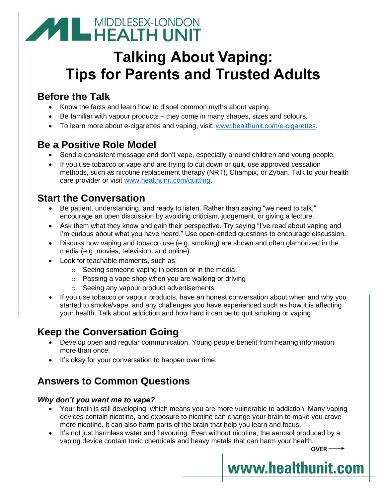# **MIDDLESEX-LONDON**

## **Talking About Vaping: Tips for Parents and Trusted Adults**

## **Before the Talk**

- Know the facts and learn how to dispel common myths about vaping.
- Be familiar with vapour products they come in many shapes, sizes and colours.
- To learn more about e-cigarettes and vaping, visit: [www.healthunit.com/e-cigarettes.](http://www.healthunit.com/e-cigarettes)

## **Be a Positive Role Model**

- Send a consistent message and don't vape, especially around children and young people.
- If you use tobacco or vape and are trying to cut down or quit, use approved cessation methods, such as nicotine replacement therapy (NRT), Champix, or Zyban. Talk to your health care provider or visit [www.healthunit.com/quitting.](http://www.healthunit.com/quitting)

## **Start the Conversation**

- Be patient, understanding, and ready to listen. Rather than saying "we need to talk," encourage an open discussion by avoiding criticism, judgement, or giving a lecture.
- Ask them what they know and gain their perspective. Try saying "I've read about vaping and I'm curious about what you have heard." Use open-ended questions to encourage discussion.
- Discuss how vaping and tobacco use (e.g. smoking) are shown and often glamorized in the media (e.g. movies, television, and online).
- Look for teachable moments, such as:
	- o Seeing someone vaping in person or in the media
	- o Passing a vape shop when you are walking or driving
	- o Seeing any vapour product advertisements
- If you use tobacco or vapour products, have an honest conversation about when and why you started to smoke/vape, and any challenges you have experienced such as how it is affecting your health. Talk about addiction and how hard it can be to quit smoking or vaping.

### **Keep the Conversation Going**

- Develop open and regular communication. Young people benefit from hearing information more than once.
- It's okay for your conversation to happen over time.

## **Answers to Common Questions**

#### *Why don't you want me to vape?*

- Your brain is still developing, which means you are more vulnerable to addiction. Many vaping devices contain nicotine, and exposure to nicotine can change your brain to make you crave more nicotine. It can also harm parts of the brain that help you learn and focus.
- It's not just harmless water and flavouring. Even without nicotine, the aerosol produced by a vaping device contain toxic chemicals and heavy metals that can harm your health.

OVER<sup>-></sup>